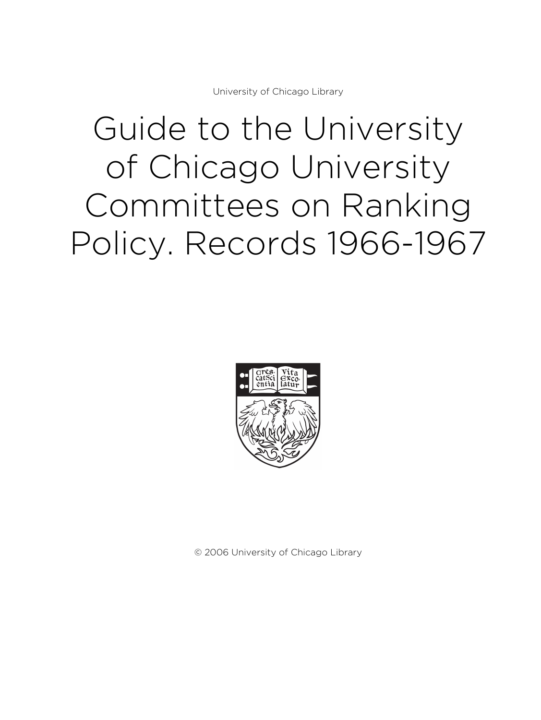University of Chicago Library

# Guide to the University of Chicago University Committees on Ranking Policy. Records 1966-1967



© 2006 University of Chicago Library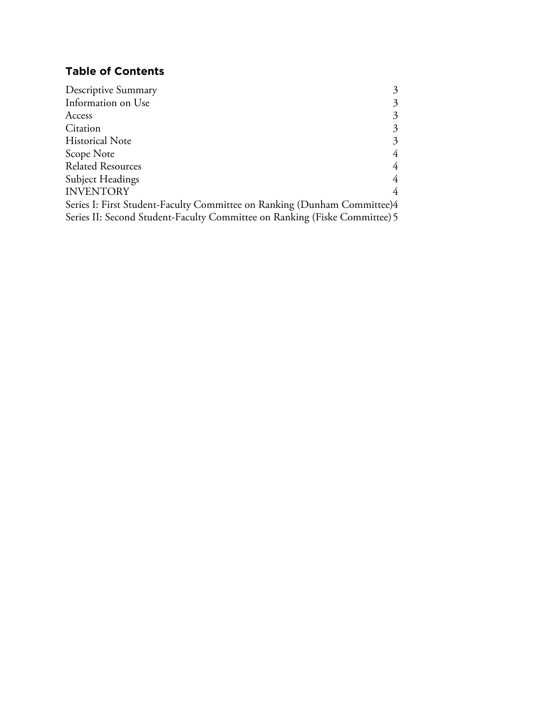# **Table of Contents**

| Descriptive Summary                                                        | 3 |
|----------------------------------------------------------------------------|---|
| Information on Use                                                         | 3 |
| Access                                                                     | 3 |
| Citation                                                                   | 3 |
| <b>Historical Note</b>                                                     | 3 |
| Scope Note                                                                 | 4 |
| <b>Related Resources</b>                                                   | 4 |
| Subject Headings                                                           | 4 |
| <b>INVENTORY</b>                                                           | 4 |
| Series I: First Student-Faculty Committee on Ranking (Dunham Committee)4   |   |
| Series II: Second Student-Faculty Committee on Ranking (Fiske Committee) 5 |   |
|                                                                            |   |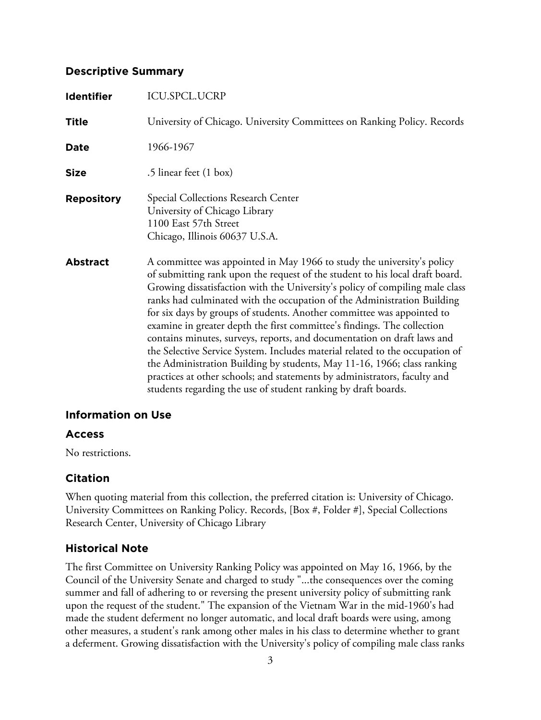#### **Descriptive Summary**

| <b>Identifier</b> | ICU.SPCL.UCRP                                                                                                                                                                                                                                                                                                                                                                                                                                                                                                                                                                                                                                                                                                                                                                                                                                               |
|-------------------|-------------------------------------------------------------------------------------------------------------------------------------------------------------------------------------------------------------------------------------------------------------------------------------------------------------------------------------------------------------------------------------------------------------------------------------------------------------------------------------------------------------------------------------------------------------------------------------------------------------------------------------------------------------------------------------------------------------------------------------------------------------------------------------------------------------------------------------------------------------|
| <b>Title</b>      | University of Chicago. University Committees on Ranking Policy. Records                                                                                                                                                                                                                                                                                                                                                                                                                                                                                                                                                                                                                                                                                                                                                                                     |
| <b>Date</b>       | 1966-1967                                                                                                                                                                                                                                                                                                                                                                                                                                                                                                                                                                                                                                                                                                                                                                                                                                                   |
| <b>Size</b>       | .5 linear feet (1 box)                                                                                                                                                                                                                                                                                                                                                                                                                                                                                                                                                                                                                                                                                                                                                                                                                                      |
| <b>Repository</b> | <b>Special Collections Research Center</b><br>University of Chicago Library<br>1100 East 57th Street<br>Chicago, Illinois 60637 U.S.A.                                                                                                                                                                                                                                                                                                                                                                                                                                                                                                                                                                                                                                                                                                                      |
| <b>Abstract</b>   | A committee was appointed in May 1966 to study the university's policy<br>of submitting rank upon the request of the student to his local draft board.<br>Growing dissatisfaction with the University's policy of compiling male class<br>ranks had culminated with the occupation of the Administration Building<br>for six days by groups of students. Another committee was appointed to<br>examine in greater depth the first committee's findings. The collection<br>contains minutes, surveys, reports, and documentation on draft laws and<br>the Selective Service System. Includes material related to the occupation of<br>the Administration Building by students, May 11-16, 1966; class ranking<br>practices at other schools; and statements by administrators, faculty and<br>students regarding the use of student ranking by draft boards. |

#### **Information on Use**

## **Access**

No restrictions.

## **Citation**

When quoting material from this collection, the preferred citation is: University of Chicago. University Committees on Ranking Policy. Records, [Box #, Folder #], Special Collections Research Center, University of Chicago Library

## **Historical Note**

The first Committee on University Ranking Policy was appointed on May 16, 1966, by the Council of the University Senate and charged to study "...the consequences over the coming summer and fall of adhering to or reversing the present university policy of submitting rank upon the request of the student." The expansion of the Vietnam War in the mid-1960's had made the student deferment no longer automatic, and local draft boards were using, among other measures, a student's rank among other males in his class to determine whether to grant a deferment. Growing dissatisfaction with the University's policy of compiling male class ranks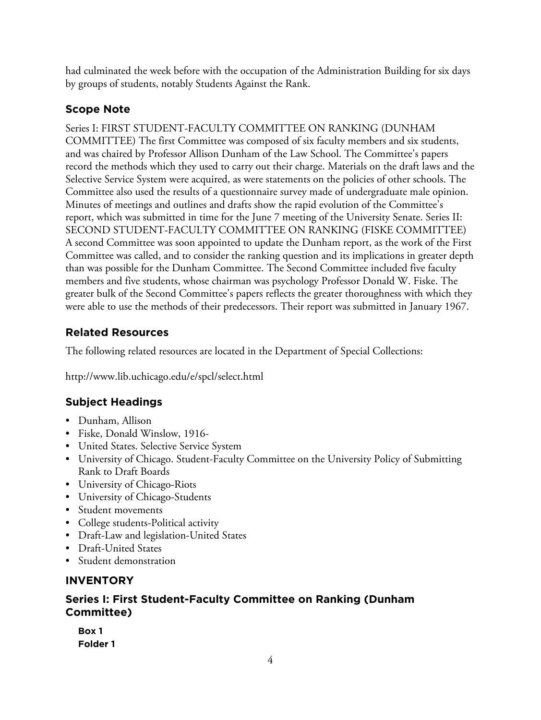had culminated the week before with the occupation of the Administration Building for six days by groups of students, notably Students Against the Rank.

# **Scope Note**

Series I: FIRST STUDENT-FACULTY COMMITTEE ON RANKING (DUNHAM COMMITTEE) The first Committee was composed of six faculty members and six students, and was chaired by Professor Allison Dunham of the Law School. The Committee's papers record the methods which they used to carry out their charge. Materials on the draft laws and the Selective Service System were acquired, as were statements on the policies of other schools. The Committee also used the results of a questionnaire survey made of undergraduate male opinion. Minutes of meetings and outlines and drafts show the rapid evolution of the Committee's report, which was submitted in time for the June 7 meeting of the University Senate. Series II: SECOND STUDENT-FACULTY COMMITTEE ON RANKING (FISKE COMMITTEE) A second Committee was soon appointed to update the Dunham report, as the work of the First Committee was called, and to consider the ranking question and its implications in greater depth than was possible for the Dunham Committee. The Second Committee included five faculty members and five students, whose chairman was psychology Professor Donald W. Fiske. The greater bulk of the Second Committee's papers reflects the greater thoroughness with which they were able to use the methods of their predecessors. Their report was submitted in January 1967.

# **Related Resources**

The following related resources are located in the Department of Special Collections:

http://www.lib.uchicago.edu/e/spcl/select.html

# **Subject Headings**

- Dunham, Allison
- Fiske, Donald Winslow, 1916-
- United States. Selective Service System
- University of Chicago. Student-Faculty Committee on the University Policy of Submitting Rank to Draft Boards
- University of Chicago-Riots
- University of Chicago-Students
- Student movements
- College students-Political activity
- Draft-Law and legislation-United States
- Draft-United States
- Student demonstration

## **INVENTORY**

## **Series I: First Student-Faculty Committee on Ranking (Dunham Committee)**

| Box 1    |  |
|----------|--|
| Folder 1 |  |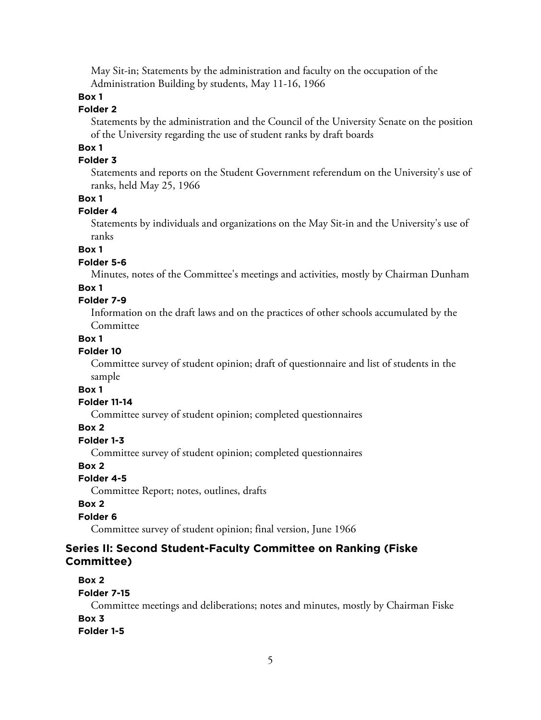May Sit-in; Statements by the administration and faculty on the occupation of the Administration Building by students, May 11-16, 1966

#### **Box 1**

#### **Folder 2**

Statements by the administration and the Council of the University Senate on the position of the University regarding the use of student ranks by draft boards

## **Box 1**

#### **Folder 3**

Statements and reports on the Student Government referendum on the University's use of ranks, held May 25, 1966

#### **Box 1**

#### **Folder 4**

Statements by individuals and organizations on the May Sit-in and the University's use of ranks

#### **Box 1**

#### **Folder 5-6**

Minutes, notes of the Committee's meetings and activities, mostly by Chairman Dunham

#### **Box 1**

#### **Folder 7-9**

Information on the draft laws and on the practices of other schools accumulated by the Committee

#### **Box 1**

#### **Folder 10**

Committee survey of student opinion; draft of questionnaire and list of students in the sample

#### **Box 1**

#### **Folder 11-14**

Committee survey of student opinion; completed questionnaires

#### **Box 2**

#### **Folder 1-3**

Committee survey of student opinion; completed questionnaires

#### **Box 2**

#### **Folder 4-5**

Committee Report; notes, outlines, drafts

#### **Box 2**

#### **Folder 6**

Committee survey of student opinion; final version, June 1966

## **Series II: Second Student-Faculty Committee on Ranking (Fiske Committee)**

#### **Box 2**

#### **Folder 7-15**

Committee meetings and deliberations; notes and minutes, mostly by Chairman Fiske **Box 3 Folder 1-5**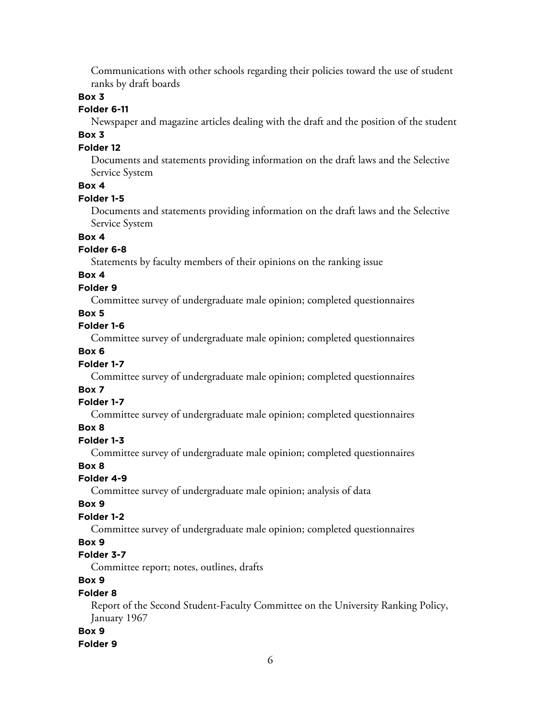Communications with other schools regarding their policies toward the use of student ranks by draft boards

#### **Box 3**

## **Folder 6-11**

Newspaper and magazine articles dealing with the draft and the position of the student

# **Box 3**

#### **Folder 12**

Documents and statements providing information on the draft laws and the Selective Service System

#### **Box 4**

#### **Folder 1-5**

Documents and statements providing information on the draft laws and the Selective Service System

# **Box 4**

#### **Folder 6-8**

Statements by faculty members of their opinions on the ranking issue

## **Box 4**

#### **Folder 9**

Committee survey of undergraduate male opinion; completed questionnaires

#### **Box 5**

#### **Folder 1-6**

Committee survey of undergraduate male opinion; completed questionnaires

## **Box 6**

## **Folder 1-7**

Committee survey of undergraduate male opinion; completed questionnaires

#### **Box 7**

## **Folder 1-7**

Committee survey of undergraduate male opinion; completed questionnaires

## **Box 8**

## **Folder 1-3**

Committee survey of undergraduate male opinion; completed questionnaires

#### **Box 8**

## **Folder 4-9**

Committee survey of undergraduate male opinion; analysis of data

## **Box 9**

# **Folder 1-2**

Committee survey of undergraduate male opinion; completed questionnaires

## **Box 9**

## **Folder 3-7**

Committee report; notes, outlines, drafts

# **Box 9**

## **Folder 8**

Report of the Second Student-Faculty Committee on the University Ranking Policy, January 1967

## **Box 9**

#### **Folder 9**